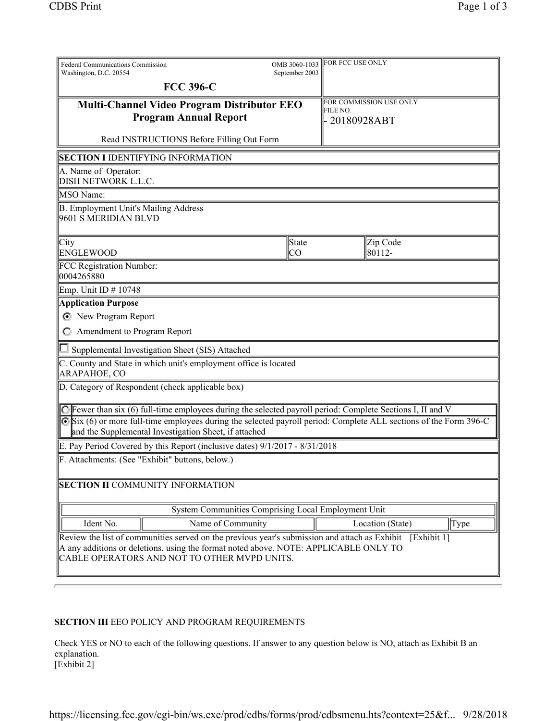| Federal Communications Commission<br>Washington, D.C. 20554                                                                                                                                                                                       |                    | OMB 3060-1033<br>September 2003 | FOR FCC USE ONLY |                         |  |      |
|---------------------------------------------------------------------------------------------------------------------------------------------------------------------------------------------------------------------------------------------------|--------------------|---------------------------------|------------------|-------------------------|--|------|
| <b>FCC 396-C</b>                                                                                                                                                                                                                                  |                    |                                 |                  |                         |  |      |
| <b>Multi-Channel Video Program Distributor EEO</b>                                                                                                                                                                                                |                    |                                 |                  | FOR COMMISSION USE ONLY |  |      |
| <b>Program Annual Report</b>                                                                                                                                                                                                                      |                    | FILE NO.<br>- 20180928ABT       |                  |                         |  |      |
| Read INSTRUCTIONS Before Filling Out Form                                                                                                                                                                                                         |                    |                                 |                  |                         |  |      |
| <b>SECTION I IDENTIFYING INFORMATION</b>                                                                                                                                                                                                          |                    |                                 |                  |                         |  |      |
| A. Name of Operator:<br>DISH NETWORK L.L.C.                                                                                                                                                                                                       |                    |                                 |                  |                         |  |      |
| MSO Name:                                                                                                                                                                                                                                         |                    |                                 |                  |                         |  |      |
| B. Employment Unit's Mailing Address<br>9601 S MERIDIAN BLVD                                                                                                                                                                                      |                    |                                 |                  |                         |  |      |
| City<br><b>ENGLEWOOD</b>                                                                                                                                                                                                                          | State<br><b>CO</b> |                                 |                  | Zip Code<br>80112-      |  |      |
| FCC Registration Number:<br>0004265880                                                                                                                                                                                                            |                    |                                 |                  |                         |  |      |
| Emp. Unit ID # 10748                                                                                                                                                                                                                              |                    |                                 |                  |                         |  |      |
| <b>Application Purpose</b>                                                                                                                                                                                                                        |                    |                                 |                  |                         |  |      |
| New Program Report                                                                                                                                                                                                                                |                    |                                 |                  |                         |  |      |
| C Amendment to Program Report                                                                                                                                                                                                                     |                    |                                 |                  |                         |  |      |
| Supplemental Investigation Sheet (SIS) Attached                                                                                                                                                                                                   |                    |                                 |                  |                         |  |      |
| C. County and State in which unit's employment office is located                                                                                                                                                                                  |                    |                                 |                  |                         |  |      |
| ARAPAHOE, CO                                                                                                                                                                                                                                      |                    |                                 |                  |                         |  |      |
| D. Category of Respondent (check applicable box)                                                                                                                                                                                                  |                    |                                 |                  |                         |  |      |
| $\bigcirc$ Fewer than six (6) full-time employees during the selected payroll period: Complete Sections I, II and V                                                                                                                               |                    |                                 |                  |                         |  |      |
| Six (6) or more full-time employees during the selected payroll period: Complete ALL sections of the Form 396-C                                                                                                                                   |                    |                                 |                  |                         |  |      |
| and the Supplemental Investigation Sheet, if attached                                                                                                                                                                                             |                    |                                 |                  |                         |  |      |
| E. Pay Period Covered by this Report (inclusive dates) 9/1/2017 - 8/31/2018                                                                                                                                                                       |                    |                                 |                  |                         |  |      |
| . Attachments: (See "Exhibit" buttons, below.)                                                                                                                                                                                                    |                    |                                 |                  |                         |  |      |
| <b>SECTION II COMMUNITY INFORMATION</b>                                                                                                                                                                                                           |                    |                                 |                  |                         |  |      |
| System Communities Comprising Local Employment Unit                                                                                                                                                                                               |                    |                                 |                  |                         |  |      |
| Ident No.                                                                                                                                                                                                                                         | Name of Community  |                                 |                  | Location (State)        |  | Type |
| Review the list of communities served on the previous year's submission and attach as Exhibit [Exhibit 1]<br>A any additions or deletions, using the format noted above. NOTE: APPLICABLE ONLY TO<br>CABLE OPERATORS AND NOT TO OTHER MVPD UNITS. |                    |                                 |                  |                         |  |      |

## SECTION III EEO POLICY AND PROGRAM REQUIREMENTS

Check YES or NO to each of the following questions. If answer to any question below is NO, attach as Exhibit B an explanation. [Exhibit 2]

https://licensing.fcc.gov/cgi-bin/ws.exe/prod/cdbs/forms/prod/cdbsmenu.hts?context=25&f... 9/28/2018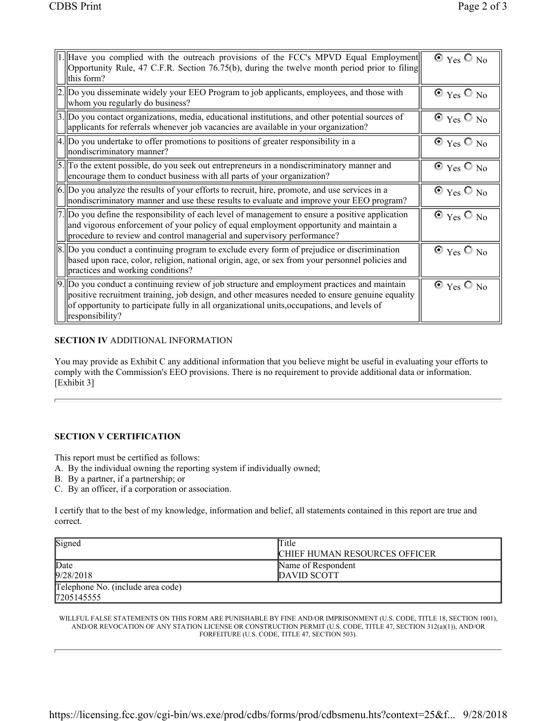| $\ 1$ . Have you complied with the outreach provisions of the FCC's MPVD Equal Employment<br>Opportunity Rule, 47 C.F.R. Section 76.75(b), during the twelve month period prior to filing<br>this form?                                                                                                                         | $\odot$ Yes $\odot$ No |
|---------------------------------------------------------------------------------------------------------------------------------------------------------------------------------------------------------------------------------------------------------------------------------------------------------------------------------|------------------------|
| $  2.  $ Do you disseminate widely your EEO Program to job applicants, employees, and those with<br>whom you regularly do business?                                                                                                                                                                                             | $\odot$ Yes $\odot$ No |
| $\left 3.\right $ Do you contact organizations, media, educational institutions, and other potential sources of<br>applicants for referrals whenever job vacancies are available in your organization?                                                                                                                          | $\odot$ Yes $\odot$ No |
| $  4.  $ Do you undertake to offer promotions to positions of greater responsibility in a<br>  nondiscriminatory manner?                                                                                                                                                                                                        | $\odot$ Yes $\odot$ No |
| $\ 5\ $ To the extent possible, do you seek out entrepreneurs in a nondiscriminatory manner and<br>encourage them to conduct business with all parts of your organization?                                                                                                                                                      | $\odot$ Yes $\odot$ No |
| $\vert$ 6. $\vert$ Do you analyze the results of your efforts to recruit, hire, promote, and use services in a<br>nondiscriminatory manner and use these results to evaluate and improve your EEO program?                                                                                                                      | $\odot$ Yes $\odot$ No |
| $  7.  $ Do you define the responsibility of each level of management to ensure a positive application<br>and vigorous enforcement of your policy of equal employment opportunity and maintain a<br>procedure to review and control managerial and supervisory performance?                                                     | $\odot$ Yes $\odot$ No |
| $\parallel$ 8. $\parallel$ Do you conduct a continuing program to exclude every form of prejudice or discrimination<br>based upon race, color, religion, national origin, age, or sex from your personnel policies and<br>practices and working conditions?                                                                     | $\odot$ Yes $\odot$ No |
| $\vert 9. \vert$ Do you conduct a continuing review of job structure and employment practices and maintain<br>positive recruitment training, job design, and other measures needed to ensure genuine equality<br>of opportunity to participate fully in all organizational units, occupations, and levels of<br>responsibility? | $\odot$ Yes $\odot$ No |

## SECTION IV ADDITIONAL INFORMATION

You may provide as Exhibit C any additional information that you believe might be useful in evaluating your efforts to comply with the Commission's EEO provisions. There is no requirement to provide additional data or information. [Exhibit 3]

## SECTION V CERTIFICATION

This report must be certified as follows:

- A. By the individual owning the reporting system if individually owned;
- B. By a partner, if a partnership; or
- C. By an officer, if a corporation or association.

I certify that to the best of my knowledge, information and belief, all statements contained in this report are true and correct.

| Signed                            | Title                                |  |
|-----------------------------------|--------------------------------------|--|
|                                   | <b>CHIEF HUMAN RESOURCES OFFICER</b> |  |
| Date                              | Name of Respondent                   |  |
| 9/28/2018                         | DAVID SCOTT                          |  |
| Telephone No. (include area code) |                                      |  |
| 7205145555                        |                                      |  |

WILLFUL FALSE STATEMENTS ON THIS FORM ARE PUNISHABLE BY FINE AND/OR IMPRISONMENT (U.S. CODE, TITLE 18, SECTION 1001), AND/OR REVOCATION OF ANY STATION LICENSE OR CONSTRUCTION PERMIT (U.S. CODE, TITLE 47, SECTION 312(a)(1)), AND/OR FORFEITURE (U.S. CODE, TITLE 47, SECTION 503).